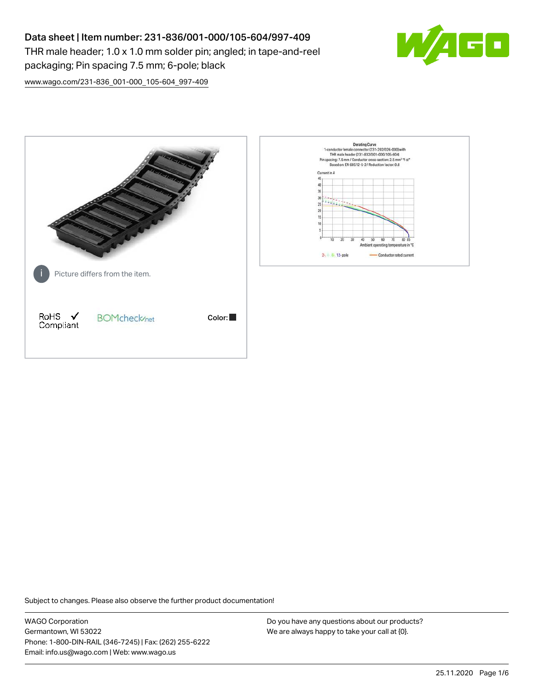# Data sheet | Item number: 231-836/001-000/105-604/997-409

THR male header; 1.0 x 1.0 mm solder pin; angled; in tape-and-reel packaging; Pin spacing 7.5 mm; 6-pole; black



[www.wago.com/231-836\\_001-000\\_105-604\\_997-409](http://www.wago.com/231-836_001-000_105-604_997-409)



Subject to changes. Please also observe the further product documentation!

WAGO Corporation Germantown, WI 53022 Phone: 1-800-DIN-RAIL (346-7245) | Fax: (262) 255-6222 Email: info.us@wago.com | Web: www.wago.us

Do you have any questions about our products? We are always happy to take your call at {0}.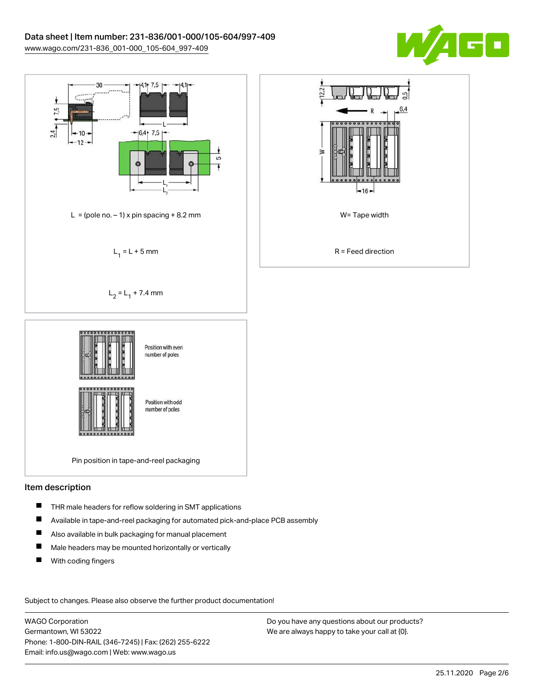



### Item description

- П THR male headers for reflow soldering in SMT applications
- П Available in tape-and-reel packaging for automated pick-and-place PCB assembly
- $\blacksquare$ Also available in bulk packaging for manual placement
- $\blacksquare$ Male headers may be mounted horizontally or vertically
- $\blacksquare$ With coding fingers

Subject to changes. Please also observe the further product documentation!

WAGO Corporation Germantown, WI 53022 Phone: 1-800-DIN-RAIL (346-7245) | Fax: (262) 255-6222 Email: info.us@wago.com | Web: www.wago.us

Do you have any questions about our products? We are always happy to take your call at {0}.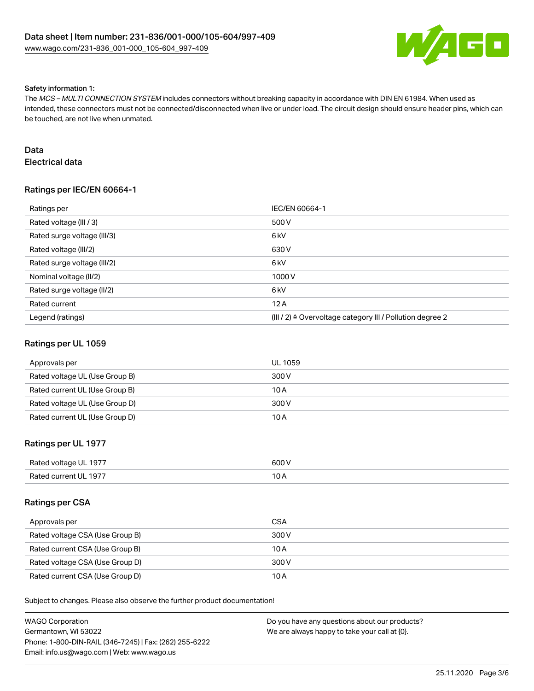

#### Safety information 1:

The MCS – MULTI CONNECTION SYSTEM includes connectors without breaking capacity in accordance with DIN EN 61984. When used as intended, these connectors must not be connected/disconnected when live or under load. The circuit design should ensure header pins, which can be touched, are not live when unmated.

## Data

Electrical data

## Ratings per IEC/EN 60664-1

| Ratings per                 | IEC/EN 60664-1                                            |
|-----------------------------|-----------------------------------------------------------|
| Rated voltage (III / 3)     | 500 V                                                     |
| Rated surge voltage (III/3) | 6 <sub>kV</sub>                                           |
| Rated voltage (III/2)       | 630 V                                                     |
| Rated surge voltage (III/2) | 6 <sub>kV</sub>                                           |
| Nominal voltage (II/2)      | 1000V                                                     |
| Rated surge voltage (II/2)  | 6 <sub>kV</sub>                                           |
| Rated current               | 12A                                                       |
| Legend (ratings)            | (III / 2) ≙ Overvoltage category III / Pollution degree 2 |

### Ratings per UL 1059

| Approvals per                  | <b>UL 1059</b> |
|--------------------------------|----------------|
| Rated voltage UL (Use Group B) | 300 V          |
| Rated current UL (Use Group B) | 10 A           |
| Rated voltage UL (Use Group D) | 300 V          |
| Rated current UL (Use Group D) | 10 A           |

## Ratings per UL 1977

| Rated voltage UL 1977 | 600V |
|-----------------------|------|
| Rated current UL 1977 |      |

### Ratings per CSA

| Approvals per                   | <b>CSA</b> |
|---------------------------------|------------|
| Rated voltage CSA (Use Group B) | 300 V      |
| Rated current CSA (Use Group B) | 10 A       |
| Rated voltage CSA (Use Group D) | 300 V      |
| Rated current CSA (Use Group D) | 10 A       |

Subject to changes. Please also observe the further product documentation!

| WAGO Corporation                                       | Do you have any questions about our products? |
|--------------------------------------------------------|-----------------------------------------------|
| Germantown. WI 53022                                   | We are always happy to take your call at {0}. |
| Phone: 1-800-DIN-RAIL (346-7245)   Fax: (262) 255-6222 |                                               |
| Email: info.us@wago.com   Web: www.wago.us             |                                               |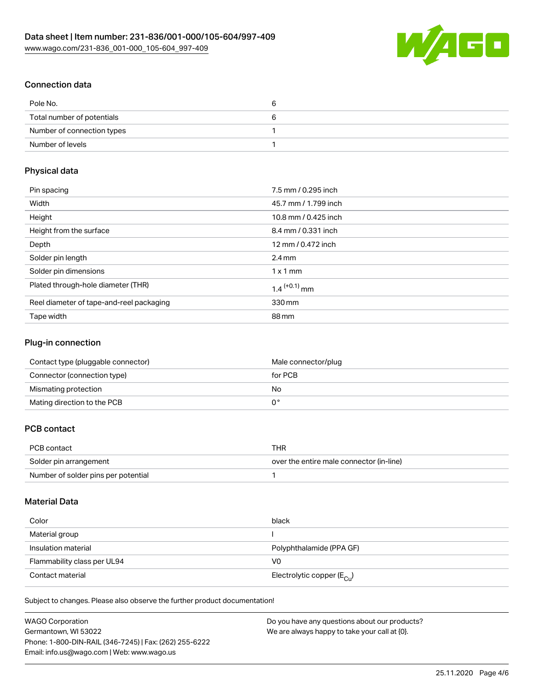

## Connection data

| Pole No.                   |  |
|----------------------------|--|
| Total number of potentials |  |
| Number of connection types |  |
| Number of levels           |  |

## Physical data

| Pin spacing                              | 7.5 mm / 0.295 inch        |
|------------------------------------------|----------------------------|
| Width                                    | 45.7 mm / 1.799 inch       |
| Height                                   | 10.8 mm / 0.425 inch       |
| Height from the surface                  | 8.4 mm / 0.331 inch        |
| Depth                                    | 12 mm / 0.472 inch         |
| Solder pin length                        | $2.4 \text{ mm}$           |
| Solder pin dimensions                    | $1 \times 1$ mm            |
| Plated through-hole diameter (THR)       | $1.4$ <sup>(+0.1)</sup> mm |
| Reel diameter of tape-and-reel packaging | 330 mm                     |
| Tape width                               | 88 mm                      |

## Plug-in connection

| Contact type (pluggable connector) | Male connector/plug |
|------------------------------------|---------------------|
| Connector (connection type)        | for PCB             |
| Mismating protection               | No                  |
| Mating direction to the PCB        |                     |

## PCB contact

| PCB contact                         | THR                                      |
|-------------------------------------|------------------------------------------|
| Solder pin arrangement              | over the entire male connector (in-line) |
| Number of solder pins per potential |                                          |

## Material Data

| Color                       | black                                   |
|-----------------------------|-----------------------------------------|
| Material group              |                                         |
| Insulation material         | Polyphthalamide (PPA GF)                |
| Flammability class per UL94 | V0                                      |
| Contact material            | Electrolytic copper ( $E_{\text{Cu}}$ ) |

Subject to changes. Please also observe the further product documentation!

| WAGO Corporation                                       | Do you have any questions about our products? |
|--------------------------------------------------------|-----------------------------------------------|
| Germantown, WI 53022                                   | We are always happy to take your call at {0}. |
| Phone: 1-800-DIN-RAIL (346-7245)   Fax: (262) 255-6222 |                                               |
| Email: info.us@wago.com   Web: www.wago.us             |                                               |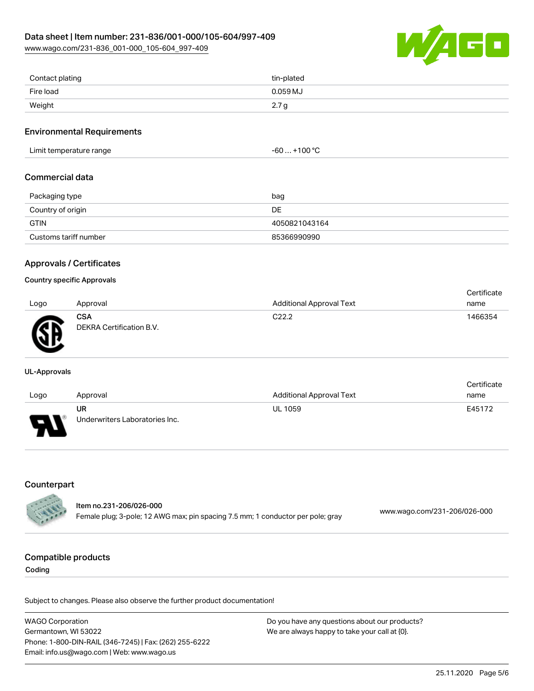[www.wago.com/231-836\\_001-000\\_105-604\\_997-409](http://www.wago.com/231-836_001-000_105-604_997-409)



| Contact plating | tin-plated       |
|-----------------|------------------|
| Fire load       | 0.059 MJ         |
| Weight          | 2.7 <sub>g</sub> |

#### Environmental Requirements

| Limit temperature range | $-60+100 °C$ |
|-------------------------|--------------|
|                         |              |

#### Commercial data

| Packaging type        | bag           |
|-----------------------|---------------|
| Country of origin     | DE            |
| <b>GTIN</b>           | 4050821043164 |
| Customs tariff number | 85366990990   |

### Approvals / Certificates

#### Country specific Approvals

| Logo    | Approval                        | <b>Additional Approval Text</b> | Certificate<br>name |
|---------|---------------------------------|---------------------------------|---------------------|
| Ж<br>-- | CSA<br>DEKRA Certification B.V. | C <sub>22.2</sub>               | 1466354             |

#### UL-Approvals

| Logo                     | Approval                             | <b>Additional Approval Text</b> | Certificate<br>name |
|--------------------------|--------------------------------------|---------------------------------|---------------------|
| $\overline{\phantom{0}}$ | UR<br>Underwriters Laboratories Inc. | <b>UL 1059</b>                  | E45172              |

## Counterpart

|                 | ltem no.231-206/026-000                                                         | www.wago.com/231-206/026-000 |
|-----------------|---------------------------------------------------------------------------------|------------------------------|
| <b>CARL AND</b> | Female plug; 3-pole; 12 AWG max; pin spacing 7.5 mm; 1 conductor per pole; gray |                              |

#### Compatible products

Coding

Subject to changes. Please also observe the further product documentation!

WAGO Corporation Germantown, WI 53022 Phone: 1-800-DIN-RAIL (346-7245) | Fax: (262) 255-6222 Email: info.us@wago.com | Web: www.wago.us Do you have any questions about our products? We are always happy to take your call at {0}.